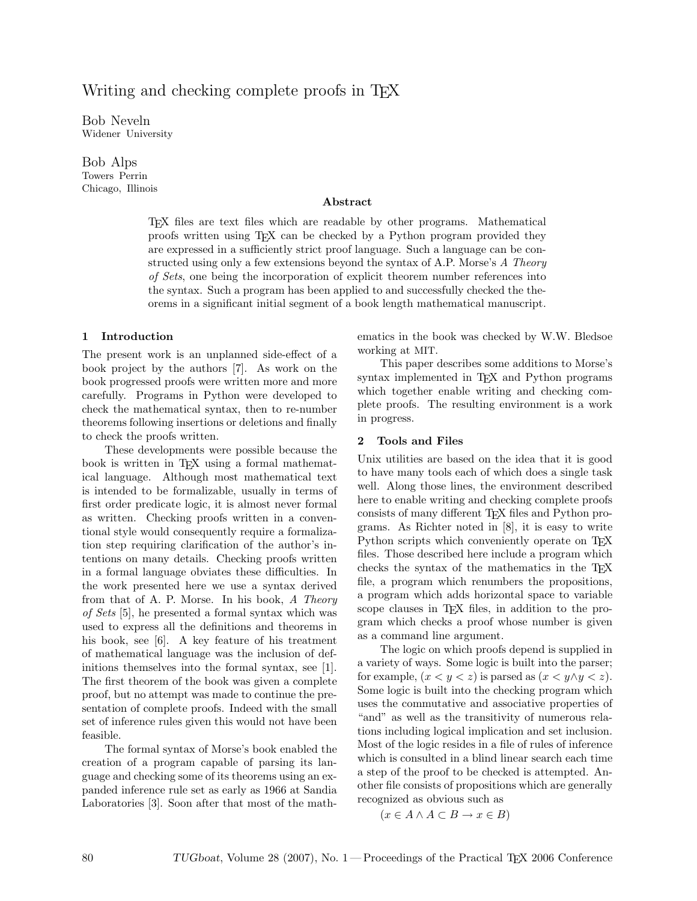# Writing and checking complete proofs in T<sub>EX</sub>

Bob Neveln Widener University

Bob Alps Towers Perrin Chicago, Illinois

#### Abstract

TEX files are text files which are readable by other programs. Mathematical proofs written using TEX can be checked by a Python program provided they are expressed in a sufficiently strict proof language. Such a language can be constructed using only a few extensions beyond the syntax of A.P. Morse's A Theory of Sets, one being the incorporation of explicit theorem number references into the syntax. Such a program has been applied to and successfully checked the theorems in a significant initial segment of a book length mathematical manuscript.

#### 1 Introduction

The present work is an unplanned side-effect of a book project by the authors [7]. As work on the book progressed proofs were written more and more carefully. Programs in Python were developed to check the mathematical syntax, then to re-number theorems following insertions or deletions and finally to check the proofs written.

These developments were possible because the book is written in TEX using a formal mathematical language. Although most mathematical text is intended to be formalizable, usually in terms of first order predicate logic, it is almost never formal as written. Checking proofs written in a conventional style would consequently require a formalization step requiring clarification of the author's intentions on many details. Checking proofs written in a formal language obviates these difficulties. In the work presented here we use a syntax derived from that of A. P. Morse. In his book, A Theory of Sets [5], he presented a formal syntax which was used to express all the definitions and theorems in his book, see [6]. A key feature of his treatment of mathematical language was the inclusion of definitions themselves into the formal syntax, see [1]. The first theorem of the book was given a complete proof, but no attempt was made to continue the presentation of complete proofs. Indeed with the small set of inference rules given this would not have been feasible.

The formal syntax of Morse's book enabled the creation of a program capable of parsing its language and checking some of its theorems using an expanded inference rule set as early as 1966 at Sandia Laboratories [3]. Soon after that most of the mathematics in the book was checked by W.W. Bledsoe working at MIT.

This paper describes some additions to Morse's syntax implemented in T<sub>E</sub>X and Python programs which together enable writing and checking complete proofs. The resulting environment is a work in progress.

#### 2 Tools and Files

Unix utilities are based on the idea that it is good to have many tools each of which does a single task well. Along those lines, the environment described here to enable writing and checking complete proofs consists of many different TEX files and Python programs. As Richter noted in [8], it is easy to write Python scripts which conveniently operate on T<sub>EX</sub> files. Those described here include a program which checks the syntax of the mathematics in the TEX file, a program which renumbers the propositions, a program which adds horizontal space to variable scope clauses in TEX files, in addition to the program which checks a proof whose number is given as a command line argument.

The logic on which proofs depend is supplied in a variety of ways. Some logic is built into the parser; for example,  $(x < y < z)$  is parsed as  $(x < y \land y < z)$ . Some logic is built into the checking program which uses the commutative and associative properties of "and" as well as the transitivity of numerous relations including logical implication and set inclusion. Most of the logic resides in a file of rules of inference which is consulted in a blind linear search each time a step of the proof to be checked is attempted. Another file consists of propositions which are generally recognized as obvious such as

$$
(x \in A \land A \subset B \to x \in B)
$$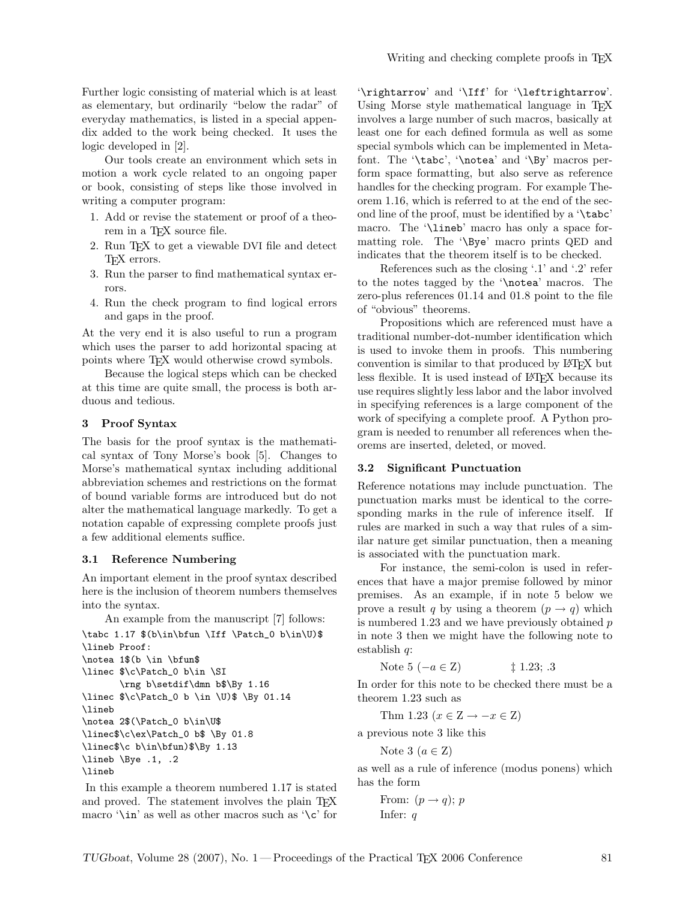Further logic consisting of material which is at least as elementary, but ordinarily "below the radar" of everyday mathematics, is listed in a special appendix added to the work being checked. It uses the logic developed in [2].

Our tools create an environment which sets in motion a work cycle related to an ongoing paper or book, consisting of steps like those involved in writing a computer program:

- 1. Add or revise the statement or proof of a theorem in a TEX source file.
- 2. Run TEX to get a viewable DVI file and detect TEX errors.
- 3. Run the parser to find mathematical syntax errors.
- 4. Run the check program to find logical errors and gaps in the proof.

At the very end it is also useful to run a program which uses the parser to add horizontal spacing at points where TEX would otherwise crowd symbols.

Because the logical steps which can be checked at this time are quite small, the process is both arduous and tedious.

## 3 Proof Syntax

The basis for the proof syntax is the mathematical syntax of Tony Morse's book [5]. Changes to Morse's mathematical syntax including additional abbreviation schemes and restrictions on the format of bound variable forms are introduced but do not alter the mathematical language markedly. To get a notation capable of expressing complete proofs just a few additional elements suffice.

#### 3.1 Reference Numbering

An important element in the proof syntax described here is the inclusion of theorem numbers themselves into the syntax.

An example from the manuscript [7] follows:

```
\tabc 1.17 $(b\in\bfun \Iff \Patch_0 b\in\U)$
\lineb Proof:
\notea 1$(b \in \bfun$
\linec $\c\Patch_0 b\in \SI
       \rng b\setdif\dmn b$\By 1.16
\linec $\c\Patch_0 b \in \U)$ \By 01.14
\lineb
\notea 2$(\Patch_0 b\in\U$
\linec$\c\ex\Patch_0 b$ \By 01.8
\linec$\c b\in\bfun)$\By 1.13
\lineb \Bye .1, .2
\lineb
```
In this example a theorem numbered 1.17 is stated and proved. The statement involves the plain T<sub>E</sub>X macro ' $\infty$ ' as well as other macros such as ' $\c$ ' for '\rightarrow' and '\Iff' for '\leftrightarrow'. Using Morse style mathematical language in T<sub>E</sub>X involves a large number of such macros, basically at least one for each defined formula as well as some special symbols which can be implemented in Metafont. The '\tabc', '\notea' and '\By' macros perform space formatting, but also serve as reference handles for the checking program. For example Theorem 1.16, which is referred to at the end of the second line of the proof, must be identified by a '\tabc' macro. The '\lineb' macro has only a space formatting role. The '\Bye' macro prints QED and indicates that the theorem itself is to be checked.

References such as the closing '.1' and '.2' refer to the notes tagged by the '\notea' macros. The zero-plus references 01.14 and 01.8 point to the file of "obvious" theorems.

Propositions which are referenced must have a traditional number-dot-number identification which is used to invoke them in proofs. This numbering convention is similar to that produced by LATEX but less flexible. It is used instead of LAT<sub>EX</sub> because its use requires slightly less labor and the labor involved in specifying references is a large component of the work of specifying a complete proof. A Python program is needed to renumber all references when theorems are inserted, deleted, or moved.

#### 3.2 Significant Punctuation

Reference notations may include punctuation. The punctuation marks must be identical to the corresponding marks in the rule of inference itself. If rules are marked in such a way that rules of a similar nature get similar punctuation, then a meaning is associated with the punctuation mark.

For instance, the semi-colon is used in references that have a major premise followed by minor premises. As an example, if in note 5 below we prove a result q by using a theorem  $(p \rightarrow q)$  which is numbered  $1.23$  and we have previously obtained  $p$ in note 3 then we might have the following note to establish q:

Note 5 
$$
(-a \in \mathbb{Z})
$$
 \n $\ddagger$  1.23; .3

In order for this note to be checked there must be a theorem 1.23 such as

Thm 1.23 ( $x \in \mathbb{Z} \to -x \in \mathbb{Z}$ )

a previous note 3 like this

Note 3  $(a \in \mathbb{Z})$ 

as well as a rule of inference (modus ponens) which has the form

```
From: (p \rightarrow q); p
Infer: q
```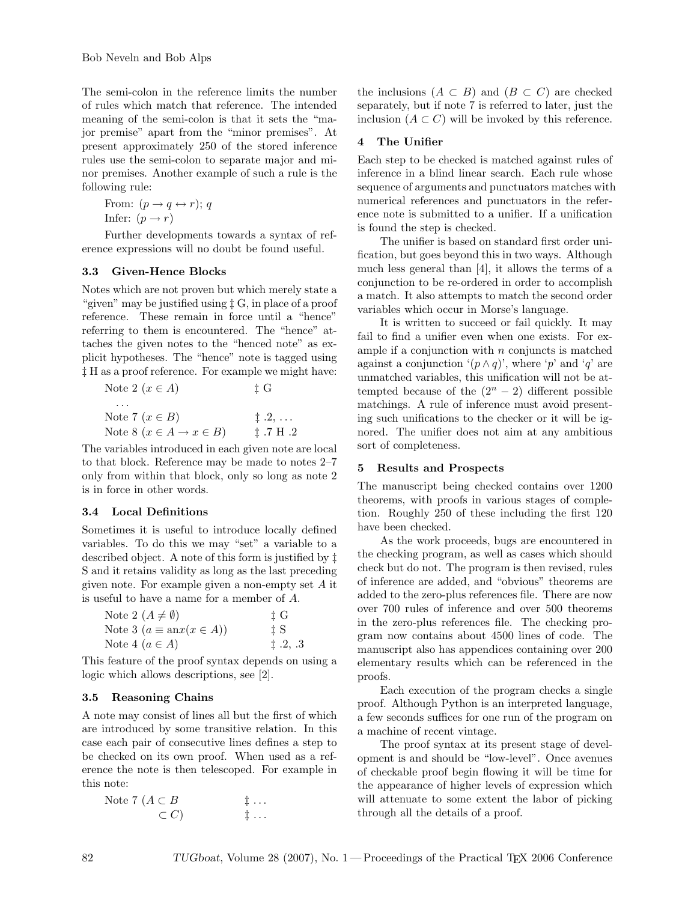The semi-colon in the reference limits the number of rules which match that reference. The intended meaning of the semi-colon is that it sets the "major premise" apart from the "minor premises". At present approximately 250 of the stored inference rules use the semi-colon to separate major and minor premises. Another example of such a rule is the following rule:

From:  $(p \rightarrow q \leftrightarrow r); q$ Infer:  $(p \rightarrow r)$ 

Further developments towards a syntax of reference expressions will no doubt be found useful.

# 3.3 Given-Hence Blocks

Notes which are not proven but which merely state a "given" may be justified using ‡ G, in place of a proof reference. These remain in force until a "hence" referring to them is encountered. The "hence" attaches the given notes to the "henced note" as explicit hypotheses. The "hence" note is tagged using ‡ H as a proof reference. For example we might have:

Note 2 
$$
(x \in A)
$$
  $\uparrow \mathbf{G}$   
\n $\cdots$   
\nNote 7  $(x \in B)$   $\uparrow \mathbf{2}, \dots$   
\nNote 8  $(x \in A \rightarrow x \in B)$   $\uparrow \mathbf{.7} \mathbf{H} \mathbf{.2}$ 

The variables introduced in each given note are local to that block. Reference may be made to notes 2–7 only from within that block, only so long as note 2 is in force in other words.

# 3.4 Local Definitions

Sometimes it is useful to introduce locally defined variables. To do this we may "set" a variable to a described object. A note of this form is justified by ‡ S and it retains validity as long as the last preceding given note. For example given a non-empty set A it is useful to have a name for a member of A.

| Note 2 $(A \neq \emptyset)$             | † G          |
|-----------------------------------------|--------------|
| Note 3 $(a \equiv \text{an}x(x \in A))$ | ± S          |
| Note 4 $(a \in A)$                      | $\pm .2, .3$ |

This feature of the proof syntax depends on using a logic which allows descriptions, see [2].

# 3.5 Reasoning Chains

A note may consist of lines all but the first of which are introduced by some transitive relation. In this case each pair of consecutive lines defines a step to be checked on its own proof. When used as a reference the note is then telescoped. For example in this note:

Note 7  $(A \subset B$   $\vdots$  ...  $\subset C$ )  $\qquad \qquad \vdots \ldots$  the inclusions  $(A \subset B)$  and  $(B \subset C)$  are checked separately, but if note 7 is referred to later, just the inclusion  $(A \subset C)$  will be invoked by this reference.

## 4 The Unifier

Each step to be checked is matched against rules of inference in a blind linear search. Each rule whose sequence of arguments and punctuators matches with numerical references and punctuators in the reference note is submitted to a unifier. If a unification is found the step is checked.

The unifier is based on standard first order unification, but goes beyond this in two ways. Although much less general than [4], it allows the terms of a conjunction to be re-ordered in order to accomplish a match. It also attempts to match the second order variables which occur in Morse's language.

It is written to succeed or fail quickly. It may fail to find a unifier even when one exists. For example if a conjunction with  $n$  conjuncts is matched against a conjunction  $(p \wedge q)$ , where 'p' and 'q' are unmatched variables, this unification will not be attempted because of the  $(2<sup>n</sup> - 2)$  different possible matchings. A rule of inference must avoid presenting such unifications to the checker or it will be ignored. The unifier does not aim at any ambitious sort of completeness.

# 5 Results and Prospects

The manuscript being checked contains over 1200 theorems, with proofs in various stages of completion. Roughly 250 of these including the first 120 have been checked.

As the work proceeds, bugs are encountered in the checking program, as well as cases which should check but do not. The program is then revised, rules of inference are added, and "obvious" theorems are added to the zero-plus references file. There are now over 700 rules of inference and over 500 theorems in the zero-plus references file. The checking program now contains about 4500 lines of code. The manuscript also has appendices containing over 200 elementary results which can be referenced in the proofs.

Each execution of the program checks a single proof. Although Python is an interpreted language, a few seconds suffices for one run of the program on a machine of recent vintage.

The proof syntax at its present stage of development is and should be "low-level". Once avenues of checkable proof begin flowing it will be time for the appearance of higher levels of expression which will attenuate to some extent the labor of picking through all the details of a proof.